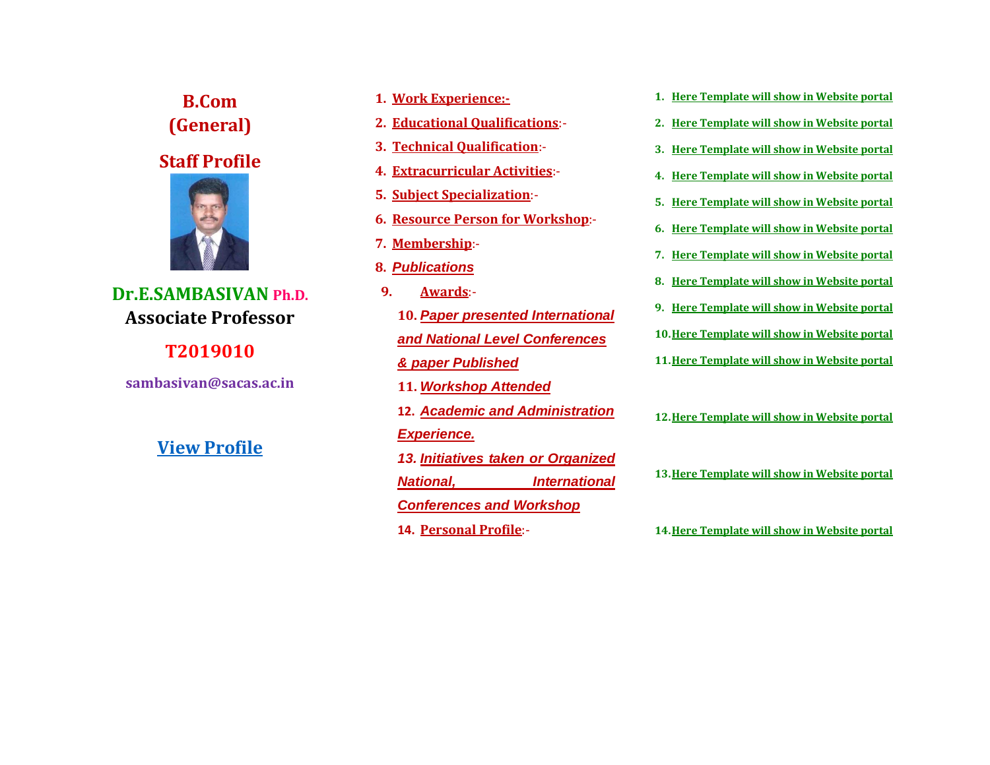**B.Com (General)**

**Staff Profile**



**Dr.E.SAMBASIVAN Ph.D. Associate Professor** 

**T2019010**

**sambasivan@sacas.ac.in**

# **[View Profile](file:///C:/Users/Sambasivan/Downloads/API%20Score_Dr.G.P..pdf)**

- **1. Work Experience:-**
- **2. Educational Qualifications**:-
- **3. Technical Qualification**:-
- **4. Extracurricular Activities**:-
- **5. Subject Specialization**:-
- **6. Resource Person for Workshop**:-
- **7. Membership**:-
- **8.** *Publications*
- **9. Awards**:- **10.** *Paper presented International and National Level Conferences & paper Published*  **11.** *Workshop Attended*
	- **12.** *Academic and Administration Experience.*
	- *13. Initiatives taken or Organized National, International Conferences and Workshop*
	- **14. Personal Profile**:-
- **1. Here Template will show in Website portal**
- **2. Here Template will show in Website portal**
- **3. Here Template will show in Website portal**
- **4. Here Template will show in Website portal**
- **5. Here Template will show in Website portal**
- **6. Here Template will show in Website portal**
- **7. Here Template will show in Website portal**
- **8. Here Template will show in Website portal**
- **9. Here Template will show in Website portal**
- **10.Here Template will show in Website portal**
- **11.Here Template will show in Website portal**
- **12.Here Template will show in Website portal**
- **13.Here Template will show in Website portal**

**14.Here Template will show in Website portal**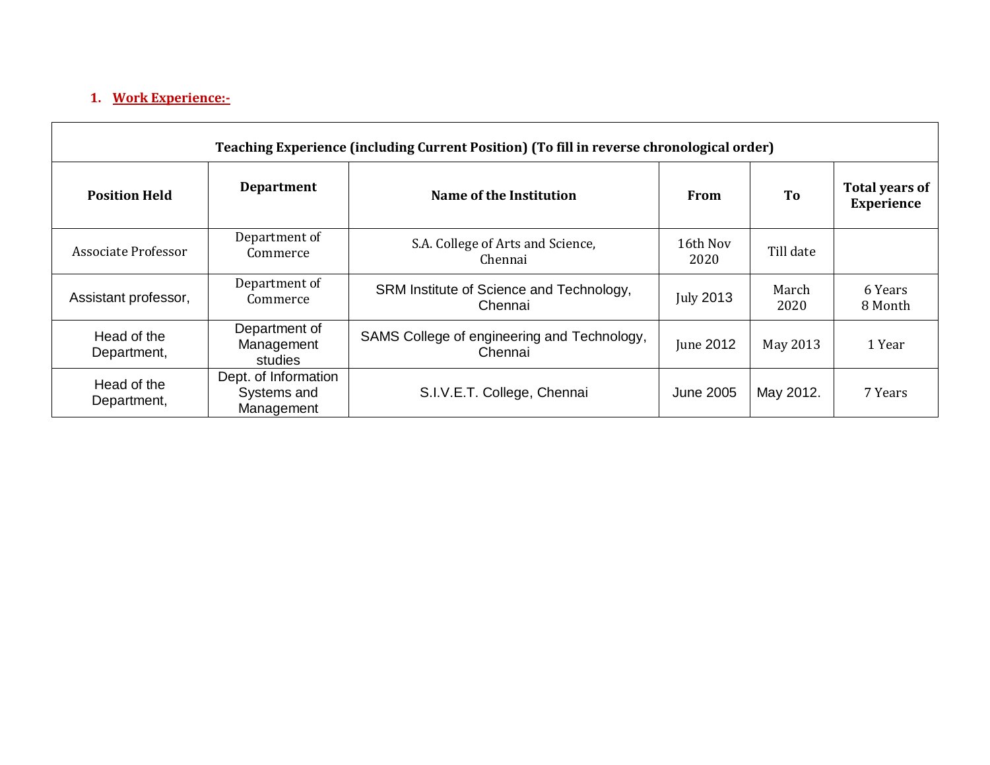# **1. Work Experience:-**

| Teaching Experience (including Current Position) (To fill in reverse chronological order) |                                                   |                                                        |                  |               |                                            |  |  |  |
|-------------------------------------------------------------------------------------------|---------------------------------------------------|--------------------------------------------------------|------------------|---------------|--------------------------------------------|--|--|--|
| <b>Position Held</b>                                                                      | <b>Department</b>                                 | Name of the Institution                                | From             | To            | <b>Total years of</b><br><b>Experience</b> |  |  |  |
| Associate Professor                                                                       | Department of<br>Commerce                         | S.A. College of Arts and Science,<br>Chennai           | 16th Nov<br>2020 | Till date     |                                            |  |  |  |
| Assistant professor,                                                                      | Department of<br>Commerce                         | SRM Institute of Science and Technology,<br>Chennai    | <b>July 2013</b> | March<br>2020 | 6 Years<br>8 Month                         |  |  |  |
| Head of the<br>Department,                                                                | Department of<br>Management<br>studies            | SAMS College of engineering and Technology,<br>Chennai | June 2012        | May 2013      | 1 Year                                     |  |  |  |
| Head of the<br>Department,                                                                | Dept. of Information<br>Systems and<br>Management | S.I.V.E.T. College, Chennai                            | June 2005        | May 2012.     | 7 Years                                    |  |  |  |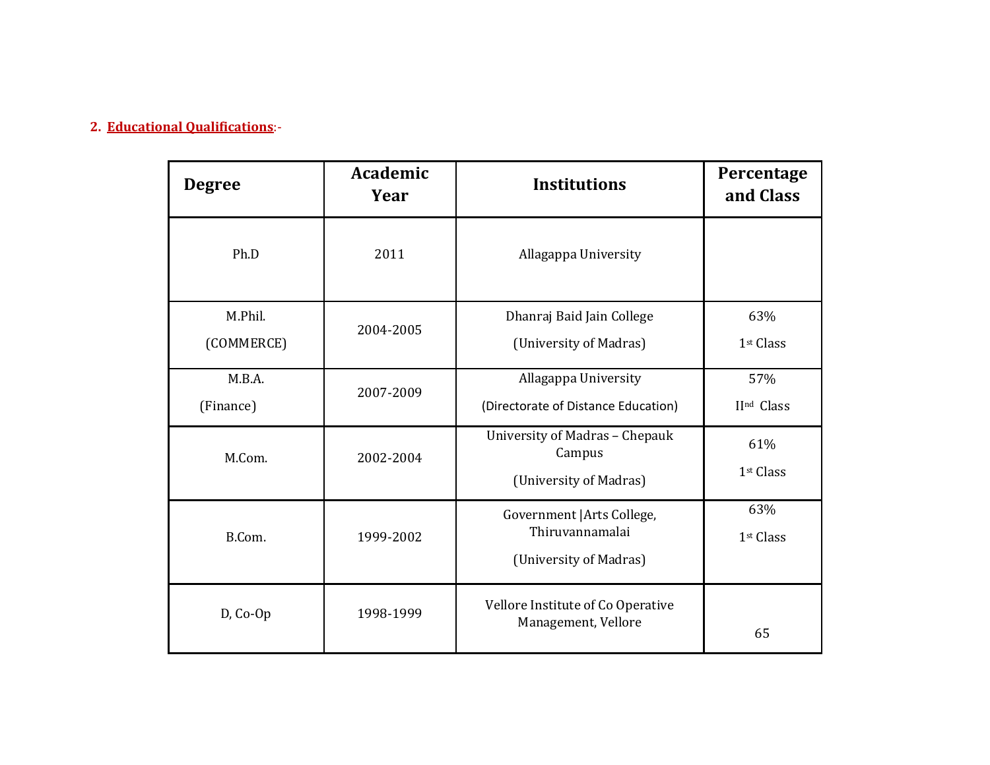# **2. Educational Qualifications**:-

| <b>Degree</b>         | <b>Academic</b><br>Year | <b>Institutions</b>                                                     | Percentage<br>and Class      |
|-----------------------|-------------------------|-------------------------------------------------------------------------|------------------------------|
| Ph.D                  | 2011                    | Allagappa University                                                    |                              |
| M.Phil.<br>(COMMERCE) | 2004-2005               | Dhanraj Baid Jain College<br>(University of Madras)                     | 63%<br>1st Class             |
| M.B.A.<br>(Finance)   | 2007-2009               | Allagappa University<br>(Directorate of Distance Education)             | 57%<br>IInd Class            |
| M.Com.                | 2002-2004               | University of Madras - Chepauk<br>Campus<br>(University of Madras)      | 61%<br>1 <sup>st</sup> Class |
| B.Com.                | 1999-2002               | Government   Arts College,<br>Thiruvannamalai<br>(University of Madras) | 63%<br>1st Class             |
| D, Co-Op              | 1998-1999               | Vellore Institute of Co Operative<br>Management, Vellore                | 65                           |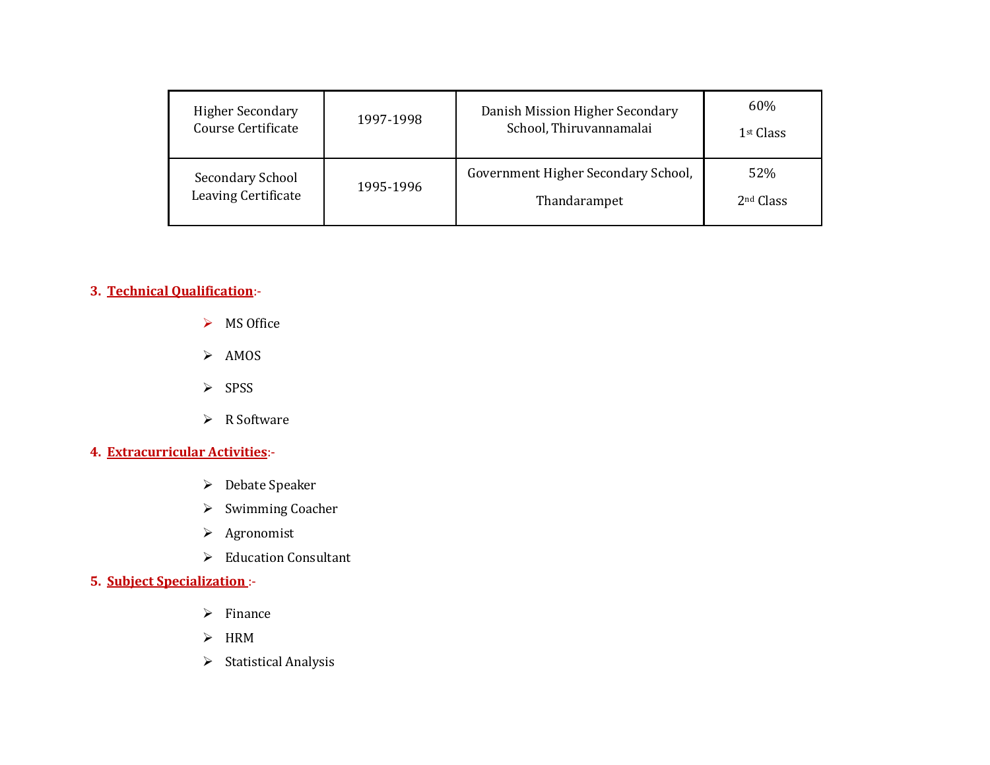| <b>Higher Secondary</b> | 1997-1998 | Danish Mission Higher Secondary     | 60%                   |
|-------------------------|-----------|-------------------------------------|-----------------------|
| Course Certificate      |           | School, Thiruvannamalai             | 1 <sup>st</sup> Class |
| <b>Secondary School</b> | 1995-1996 | Government Higher Secondary School, | 52%                   |
| Leaving Certificate     |           | Thandarampet                        | 2 <sup>nd</sup> Class |

# **3. Technical Qualification**:-

- $\triangleright$  MS Office
- $>$  AMOS
- $\triangleright$  SPSS
- $\triangleright$  R Software

# **4. Extracurricular Activities**:-

- **►** Debate Speaker
- $\triangleright$  Swimming Coacher
- Agronomist
- Education Consultant

# **5. Subject Specialization** :-

- $\triangleright$  Finance
- $>$  HRM
- $\triangleright$  Statistical Analysis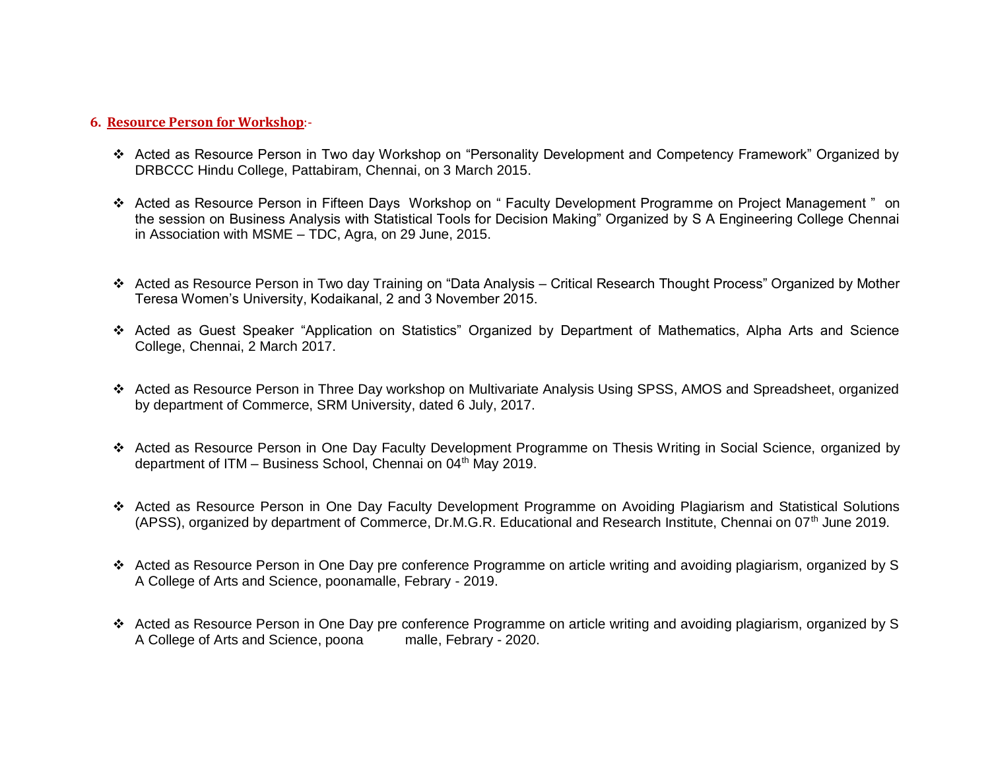#### **6. Resource Person for Workshop**:-

- Acted as Resource Person in Two day Workshop on "Personality Development and Competency Framework" Organized by DRBCCC Hindu College, Pattabiram, Chennai, on 3 March 2015.
- Acted as Resource Person in Fifteen Days Workshop on " Faculty Development Programme on Project Management " on the session on Business Analysis with Statistical Tools for Decision Making" Organized by S A Engineering College Chennai in Association with MSME – TDC, Agra, on 29 June, 2015.
- Acted as Resource Person in Two day Training on "Data Analysis Critical Research Thought Process" Organized by Mother Teresa Women's University, Kodaikanal, 2 and 3 November 2015.
- Acted as Guest Speaker "Application on Statistics" Organized by Department of Mathematics, Alpha Arts and Science College, Chennai, 2 March 2017.
- Acted as Resource Person in Three Day workshop on Multivariate Analysis Using SPSS, AMOS and Spreadsheet, organized by department of Commerce, SRM University, dated 6 July, 2017.
- Acted as Resource Person in One Day Faculty Development Programme on Thesis Writing in Social Science, organized by department of ITM – Business School, Chennai on 04<sup>th</sup> May 2019.
- Acted as Resource Person in One Day Faculty Development Programme on Avoiding Plagiarism and Statistical Solutions (APSS), organized by department of Commerce, Dr.M.G.R. Educational and Research Institute, Chennai on 07<sup>th</sup> June 2019.
- Acted as Resource Person in One Day pre conference Programme on article writing and avoiding plagiarism, organized by S A College of Arts and Science, poonamalle, Febrary - 2019.
- Acted as Resource Person in One Day pre conference Programme on article writing and avoiding plagiarism, organized by S<br>A College of Arts and Science, poona malle, Febrary 2020. A College of Arts and Science, poona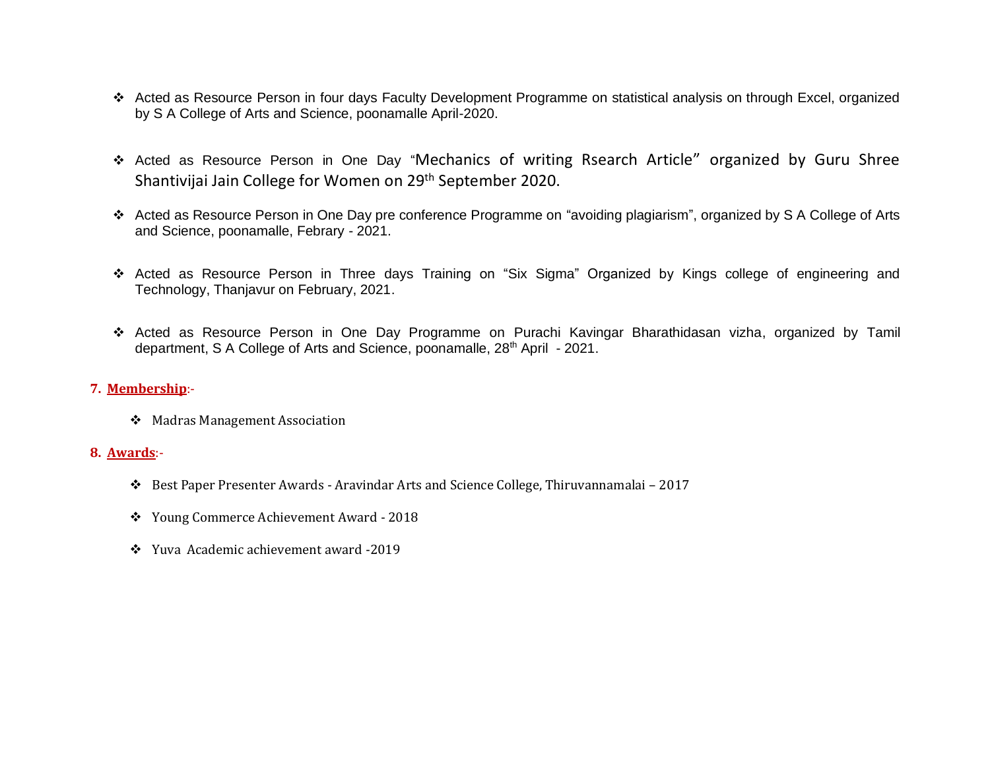- Acted as Resource Person in four days Faculty Development Programme on statistical analysis on through Excel, organized by S A College of Arts and Science, poonamalle April-2020.
- Acted as Resource Person in One Day "Mechanics of writing Rsearch Article" organized by Guru Shree Shantivijai Jain College for Women on 29th September 2020.
- Acted as Resource Person in One Day pre conference Programme on "avoiding plagiarism", organized by S A College of Arts and Science, poonamalle, Febrary - 2021.
- Acted as Resource Person in Three days Training on "Six Sigma" Organized by Kings college of engineering and Technology, Thanjavur on February, 2021.
- Acted as Resource Person in One Day Programme on Purachi Kavingar Bharathidasan vizha, organized by Tamil department, S A College of Arts and Science, poonamalle, 28<sup>th</sup> April - 2021.

#### **7. Membership**:-

Madras Management Association

#### **8. Awards**:-

- Best Paper Presenter Awards Aravindar Arts and Science College, Thiruvannamalai 2017
- Young Commerce Achievement Award 2018
- Yuva Academic achievement award -2019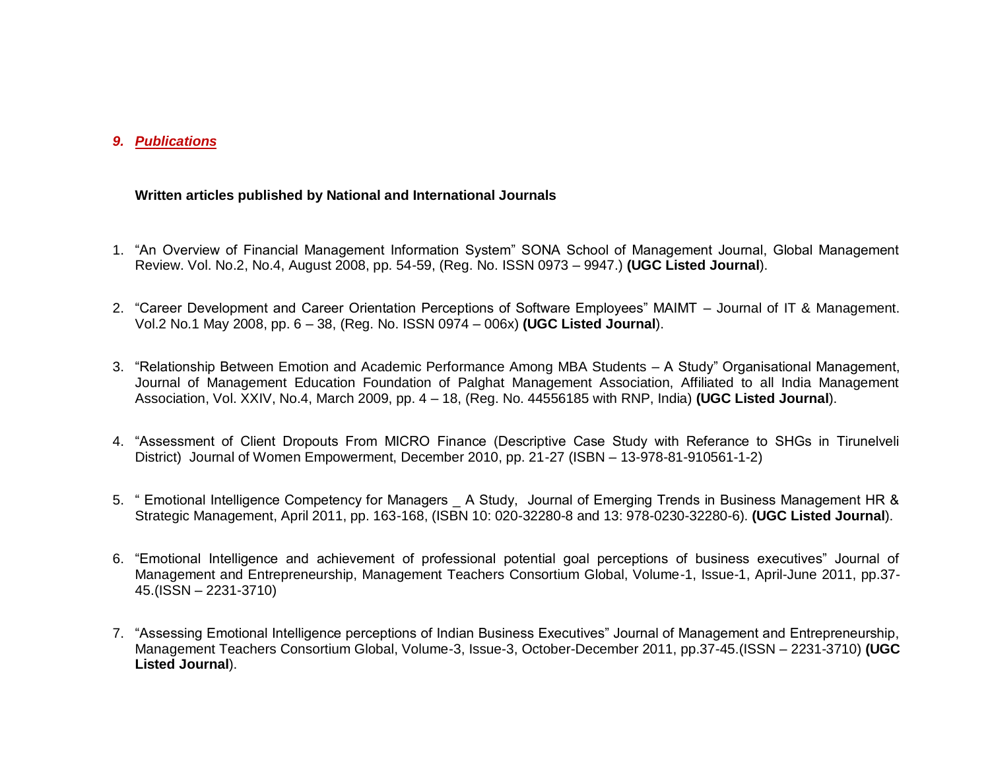### *9. Publications*

#### **Written articles published by National and International Journals**

- 1. "An Overview of Financial Management Information System" SONA School of Management Journal, Global Management Review. Vol. No.2, No.4, August 2008, pp. 54-59, (Reg. No. ISSN 0973 – 9947.) **(UGC Listed Journal**).
- 2. "Career Development and Career Orientation Perceptions of Software Employees" MAIMT Journal of IT & Management. Vol.2 No.1 May 2008, pp. 6 – 38, (Reg. No. ISSN 0974 – 006x) **(UGC Listed Journal**).
- 3. "Relationship Between Emotion and Academic Performance Among MBA Students A Study" Organisational Management, Journal of Management Education Foundation of Palghat Management Association, Affiliated to all India Management Association, Vol. XXIV, No.4, March 2009, pp. 4 – 18, (Reg. No. 44556185 with RNP, India) **(UGC Listed Journal**).
- 4. "Assessment of Client Dropouts From MICRO Finance (Descriptive Case Study with Referance to SHGs in Tirunelveli District) Journal of Women Empowerment, December 2010, pp. 21-27 (ISBN – 13-978-81-910561-1-2)
- 5. " Emotional Intelligence Competency for Managers \_ A Study, Journal of Emerging Trends in Business Management HR & Strategic Management, April 2011, pp. 163-168, (ISBN 10: 020-32280-8 and 13: 978-0230-32280-6). **(UGC Listed Journal**).
- 6. "Emotional Intelligence and achievement of professional potential goal perceptions of business executives" Journal of Management and Entrepreneurship, Management Teachers Consortium Global, Volume-1, Issue-1, April-June 2011, pp.37- 45.(ISSN – 2231-3710)
- 7. "Assessing Emotional Intelligence perceptions of Indian Business Executives" Journal of Management and Entrepreneurship, Management Teachers Consortium Global, Volume-3, Issue-3, October-December 2011, pp.37-45.(ISSN – 2231-3710) **(UGC Listed Journal**).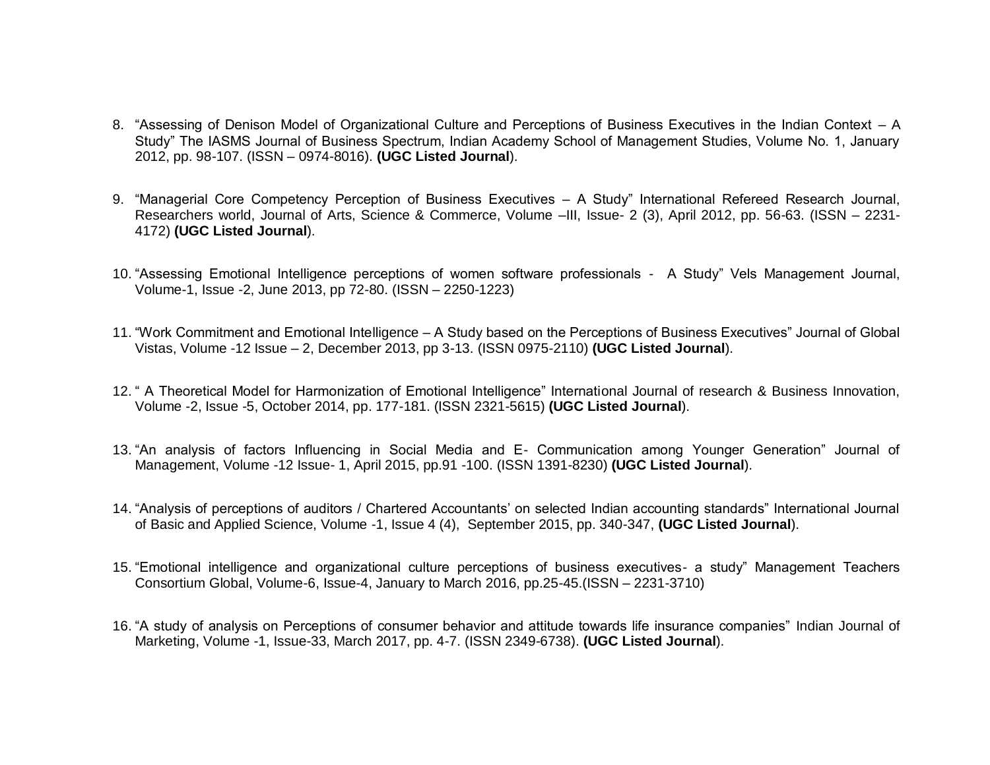- 8. "Assessing of Denison Model of Organizational Culture and Perceptions of Business Executives in the Indian Context A Study" The IASMS Journal of Business Spectrum, Indian Academy School of Management Studies, Volume No. 1, January 2012, pp. 98-107. (ISSN – 0974-8016). **(UGC Listed Journal**).
- 9. "Managerial Core Competency Perception of Business Executives A Study" International Refereed Research Journal, Researchers world, Journal of Arts, Science & Commerce, Volume –III, Issue- 2 (3), April 2012, pp. 56-63. (ISSN – 2231- 4172) **(UGC Listed Journal**).
- 10. "Assessing Emotional Intelligence perceptions of women software professionals A Study" Vels Management Journal, Volume-1, Issue -2, June 2013, pp 72-80. (ISSN – 2250-1223)
- 11. "Work Commitment and Emotional Intelligence A Study based on the Perceptions of Business Executives" Journal of Global Vistas, Volume -12 Issue – 2, December 2013, pp 3-13. (ISSN 0975-2110) **(UGC Listed Journal**).
- 12. " A Theoretical Model for Harmonization of Emotional Intelligence" International Journal of research & Business Innovation, Volume -2, Issue -5, October 2014, pp. 177-181. (ISSN 2321-5615) **(UGC Listed Journal**).
- 13. "An analysis of factors Influencing in Social Media and E- Communication among Younger Generation" Journal of Management, Volume -12 Issue- 1, April 2015, pp.91 -100. (ISSN 1391-8230) **(UGC Listed Journal**).
- 14. "Analysis of perceptions of auditors / Chartered Accountants' on selected Indian accounting standards" International Journal of Basic and Applied Science, Volume -1, Issue 4 (4), September 2015, pp. 340-347, **(UGC Listed Journal**).
- 15. "Emotional intelligence and organizational culture perceptions of business executives- a study" Management Teachers Consortium Global, Volume-6, Issue-4, January to March 2016, pp.25-45.(ISSN – 2231-3710)
- 16. "A study of analysis on Perceptions of consumer behavior and attitude towards life insurance companies" Indian Journal of Marketing, Volume -1, Issue-33, March 2017, pp. 4-7. (ISSN 2349-6738). **(UGC Listed Journal**).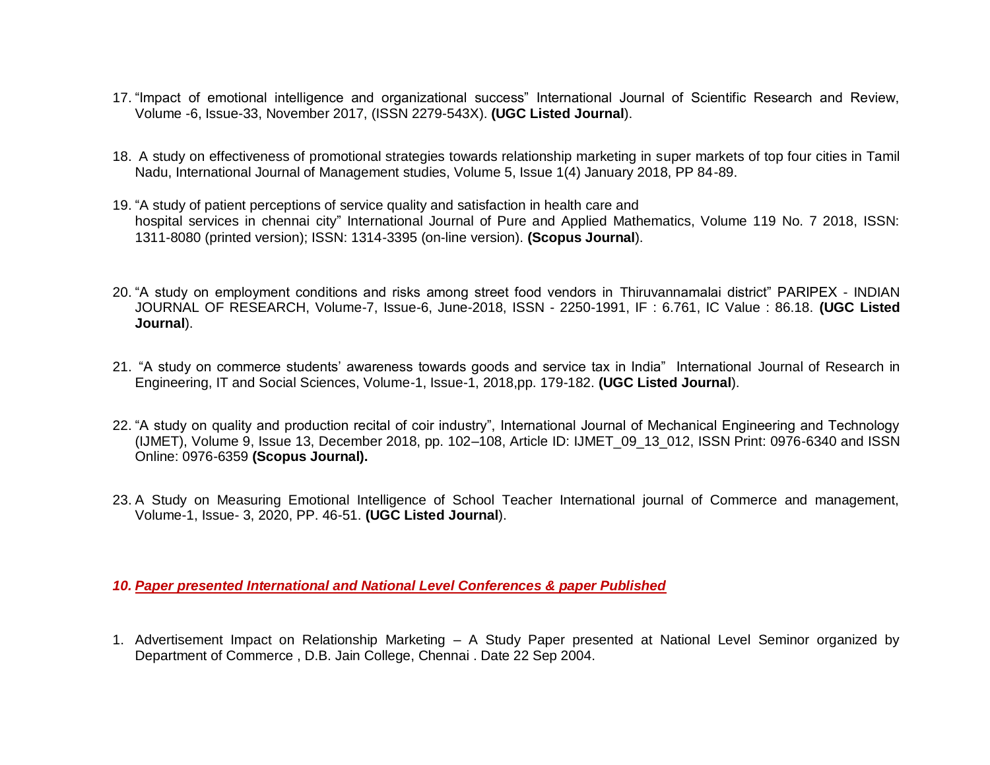- 17. "Impact of emotional intelligence and organizational success" International Journal of Scientific Research and Review, Volume -6, Issue-33, November 2017, (ISSN 2279-543X). **(UGC Listed Journal**).
- 18. A study on effectiveness of promotional strategies towards relationship marketing in super markets of top four cities in Tamil Nadu, International Journal of Management studies, Volume 5, Issue 1(4) January 2018, PP 84-89.
- 19. "A study of patient perceptions of service quality and satisfaction in health care and hospital services in chennai city" International Journal of Pure and Applied Mathematics, Volume 119 No. 7 2018, ISSN: 1311-8080 (printed version); ISSN: 1314-3395 (on-line version). **(Scopus Journal**).
- 20. "A study on employment conditions and risks among street food vendors in Thiruvannamalai district" PARIPEX INDIAN JOURNAL OF RESEARCH, Volume-7, Issue-6, June-2018, ISSN - 2250-1991, IF : 6.761, IC Value : 86.18. **(UGC Listed Journal**).
- 21. "A study on commerce students' awareness towards goods and service tax in India" International Journal of Research in Engineering, IT and Social Sciences, Volume-1, Issue-1, 2018,pp. 179-182. **(UGC Listed Journal**).
- 22. "A study on quality and production recital of coir industry", International Journal of Mechanical Engineering and Technology (IJMET), Volume 9, Issue 13, December 2018, pp. 102–108, Article ID: IJMET\_09\_13\_012, ISSN Print: 0976-6340 and ISSN Online: 0976-6359 **(Scopus Journal).**
- 23. A Study on Measuring Emotional Intelligence of School Teacher International journal of Commerce and management, Volume-1, Issue- 3, 2020, PP. 46-51. **(UGC Listed Journal**).

*10. Paper presented International and National Level Conferences & paper Published* 

1. Advertisement Impact on Relationship Marketing – A Study Paper presented at National Level Seminor organized by Department of Commerce , D.B. Jain College, Chennai . Date 22 Sep 2004.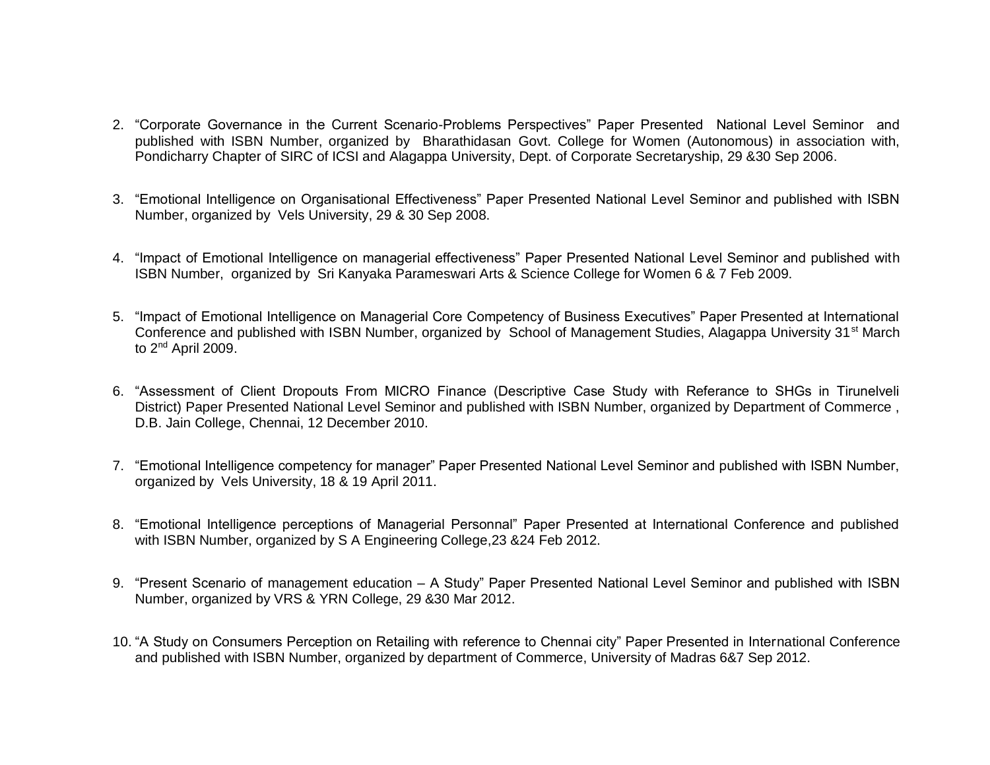- 2. "Corporate Governance in the Current Scenario-Problems Perspectives" Paper Presented National Level Seminor and published with ISBN Number, organized by Bharathidasan Govt. College for Women (Autonomous) in association with, Pondicharry Chapter of SIRC of ICSI and Alagappa University, Dept. of Corporate Secretaryship, 29 &30 Sep 2006.
- 3. "Emotional Intelligence on Organisational Effectiveness" Paper Presented National Level Seminor and published with ISBN Number, organized by Vels University, 29 & 30 Sep 2008.
- 4. "Impact of Emotional Intelligence on managerial effectiveness" Paper Presented National Level Seminor and published with ISBN Number, organized by Sri Kanyaka Parameswari Arts & Science College for Women 6 & 7 Feb 2009.
- 5. "Impact of Emotional Intelligence on Managerial Core Competency of Business Executives" Paper Presented at International Conference and published with ISBN Number, organized by School of Management Studies, Alagappa University 31<sup>st</sup> March to 2<sup>nd</sup> April 2009.
- 6. "Assessment of Client Dropouts From MICRO Finance (Descriptive Case Study with Referance to SHGs in Tirunelveli District) Paper Presented National Level Seminor and published with ISBN Number, organized by Department of Commerce , D.B. Jain College, Chennai, 12 December 2010.
- 7. "Emotional Intelligence competency for manager" Paper Presented National Level Seminor and published with ISBN Number, organized by Vels University, 18 & 19 April 2011.
- 8. "Emotional Intelligence perceptions of Managerial Personnal" Paper Presented at International Conference and published with ISBN Number, organized by S A Engineering College,23 &24 Feb 2012.
- 9. "Present Scenario of management education A Study" Paper Presented National Level Seminor and published with ISBN Number, organized by VRS & YRN College, 29 &30 Mar 2012.
- 10. "A Study on Consumers Perception on Retailing with reference to Chennai city" Paper Presented in International Conference and published with ISBN Number, organized by department of Commerce, University of Madras 6&7 Sep 2012.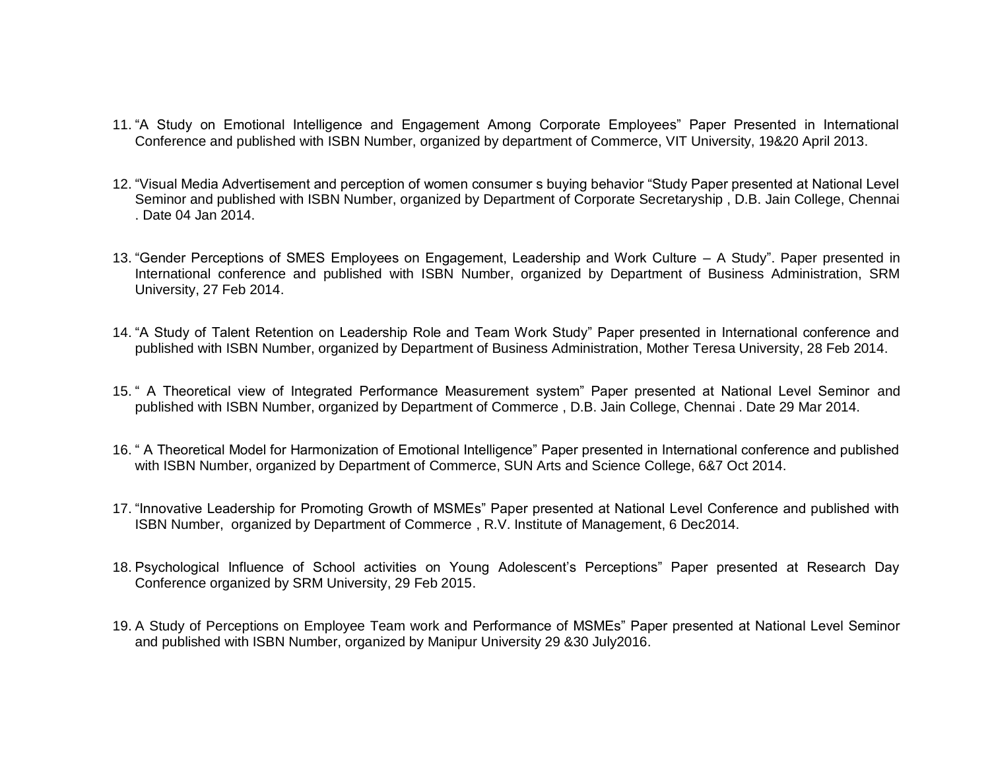- 11. "A Study on Emotional Intelligence and Engagement Among Corporate Employees" Paper Presented in International Conference and published with ISBN Number, organized by department of Commerce, VIT University, 19&20 April 2013.
- 12. "Visual Media Advertisement and perception of women consumer s buying behavior "Study Paper presented at National Level Seminor and published with ISBN Number, organized by Department of Corporate Secretaryship , D.B. Jain College, Chennai . Date 04 Jan 2014.
- 13. "Gender Perceptions of SMES Employees on Engagement, Leadership and Work Culture A Study". Paper presented in International conference and published with ISBN Number, organized by Department of Business Administration, SRM University, 27 Feb 2014.
- 14. "A Study of Talent Retention on Leadership Role and Team Work Study" Paper presented in International conference and published with ISBN Number, organized by Department of Business Administration, Mother Teresa University, 28 Feb 2014.
- 15. " A Theoretical view of Integrated Performance Measurement system" Paper presented at National Level Seminor and published with ISBN Number, organized by Department of Commerce , D.B. Jain College, Chennai . Date 29 Mar 2014.
- 16. " A Theoretical Model for Harmonization of Emotional Intelligence" Paper presented in International conference and published with ISBN Number, organized by Department of Commerce, SUN Arts and Science College, 6&7 Oct 2014.
- 17. "Innovative Leadership for Promoting Growth of MSMEs" Paper presented at National Level Conference and published with ISBN Number, organized by Department of Commerce , R.V. Institute of Management, 6 Dec2014.
- 18. Psychological Influence of School activities on Young Adolescent's Perceptions" Paper presented at Research Day Conference organized by SRM University, 29 Feb 2015.
- 19. A Study of Perceptions on Employee Team work and Performance of MSMEs" Paper presented at National Level Seminor and published with ISBN Number, organized by Manipur University 29 &30 July2016.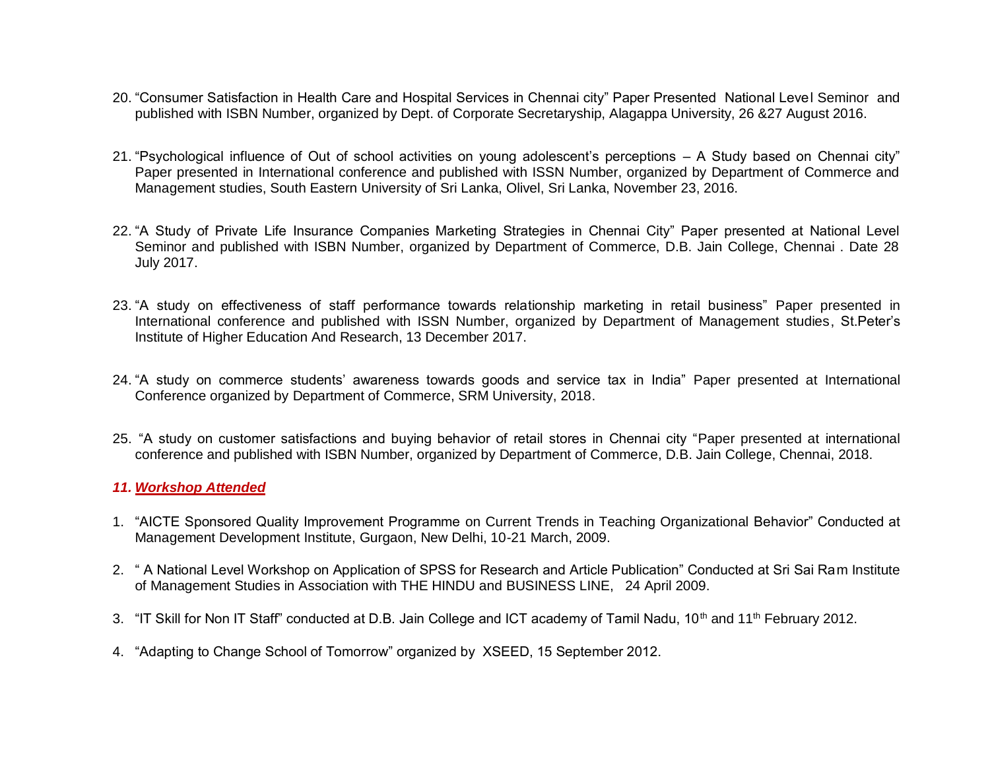- 20. "Consumer Satisfaction in Health Care and Hospital Services in Chennai city" Paper Presented National Level Seminor and published with ISBN Number, organized by Dept. of Corporate Secretaryship, Alagappa University, 26 &27 August 2016.
- 21. "Psychological influence of Out of school activities on young adolescent's perceptions A Study based on Chennai city" Paper presented in International conference and published with ISSN Number, organized by Department of Commerce and Management studies, South Eastern University of Sri Lanka, Olivel, Sri Lanka, November 23, 2016.
- 22. "A Study of Private Life Insurance Companies Marketing Strategies in Chennai City" Paper presented at National Level Seminor and published with ISBN Number, organized by Department of Commerce, D.B. Jain College, Chennai . Date 28 July 2017.
- 23. "A study on effectiveness of staff performance towards relationship marketing in retail business" Paper presented in International conference and published with ISSN Number, organized by Department of Management studies, St.Peter's Institute of Higher Education And Research, 13 December 2017.
- 24. "A study on commerce students' awareness towards goods and service tax in India" Paper presented at International Conference organized by Department of Commerce, SRM University, 2018.
- 25. "A study on customer satisfactions and buying behavior of retail stores in Chennai city "Paper presented at international conference and published with ISBN Number, organized by Department of Commerce, D.B. Jain College, Chennai, 2018.

### *11. Workshop Attended*

- 1. "AICTE Sponsored Quality Improvement Programme on Current Trends in Teaching Organizational Behavior" Conducted at Management Development Institute, Gurgaon, New Delhi, 10-21 March, 2009.
- 2. " A National Level Workshop on Application of SPSS for Research and Article Publication" Conducted at Sri Sai Ram Institute of Management Studies in Association with THE HINDU and BUSINESS LINE, 24 April 2009.
- 3. "IT Skill for Non IT Staff" conducted at D.B. Jain College and ICT academy of Tamil Nadu, 10<sup>th</sup> and 11<sup>th</sup> February 2012.
- 4. "Adapting to Change School of Tomorrow" organized by XSEED, 15 September 2012.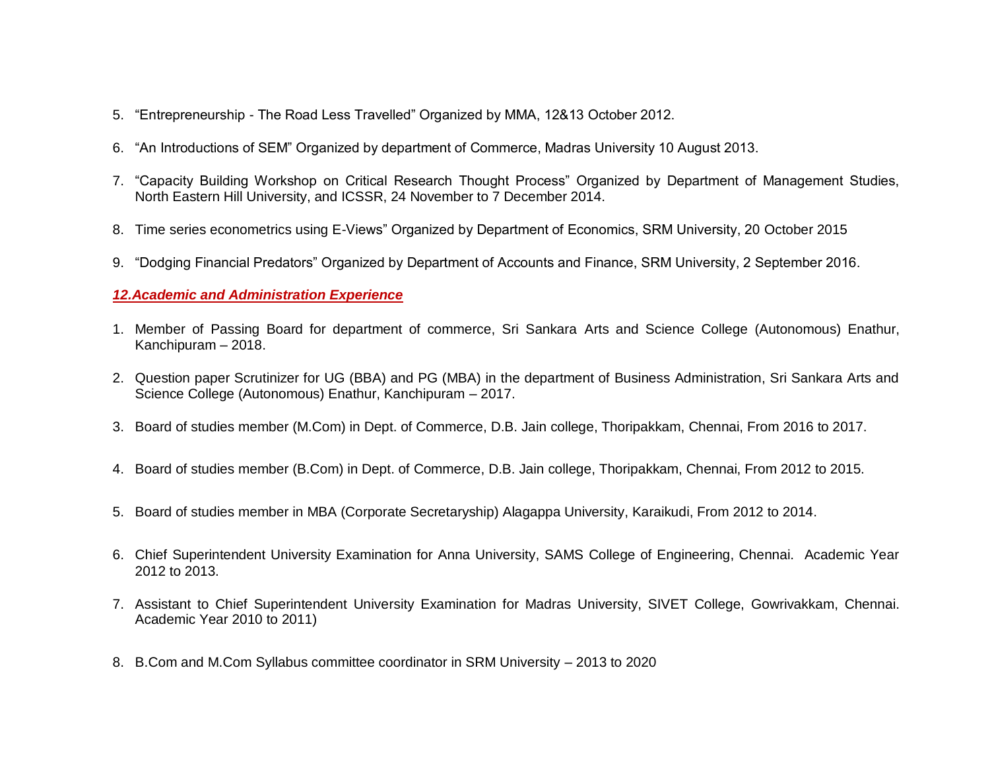- 5. "Entrepreneurship The Road Less Travelled" Organized by MMA, 12&13 October 2012.
- 6. "An Introductions of SEM" Organized by department of Commerce, Madras University 10 August 2013.
- 7. "Capacity Building Workshop on Critical Research Thought Process" Organized by Department of Management Studies, North Eastern Hill University, and ICSSR, 24 November to 7 December 2014.
- 8. Time series econometrics using E-Views" Organized by Department of Economics, SRM University, 20 October 2015
- 9. "Dodging Financial Predators" Organized by Department of Accounts and Finance, SRM University, 2 September 2016.

## *12.Academic and Administration Experience*

- 1. Member of Passing Board for department of commerce, Sri Sankara Arts and Science College (Autonomous) Enathur, Kanchipuram – 2018.
- 2. Question paper Scrutinizer for UG (BBA) and PG (MBA) in the department of Business Administration, Sri Sankara Arts and Science College (Autonomous) Enathur, Kanchipuram – 2017.
- 3. Board of studies member (M.Com) in Dept. of Commerce, D.B. Jain college, Thoripakkam, Chennai, From 2016 to 2017.
- 4. Board of studies member (B.Com) in Dept. of Commerce, D.B. Jain college, Thoripakkam, Chennai, From 2012 to 2015.
- 5. Board of studies member in MBA (Corporate Secretaryship) Alagappa University, Karaikudi, From 2012 to 2014.
- 6. Chief Superintendent University Examination for Anna University, SAMS College of Engineering, Chennai. Academic Year 2012 to 2013.
- 7. Assistant to Chief Superintendent University Examination for Madras University, SIVET College, Gowrivakkam, Chennai. Academic Year 2010 to 2011)
- 8. B.Com and M.Com Syllabus committee coordinator in SRM University 2013 to 2020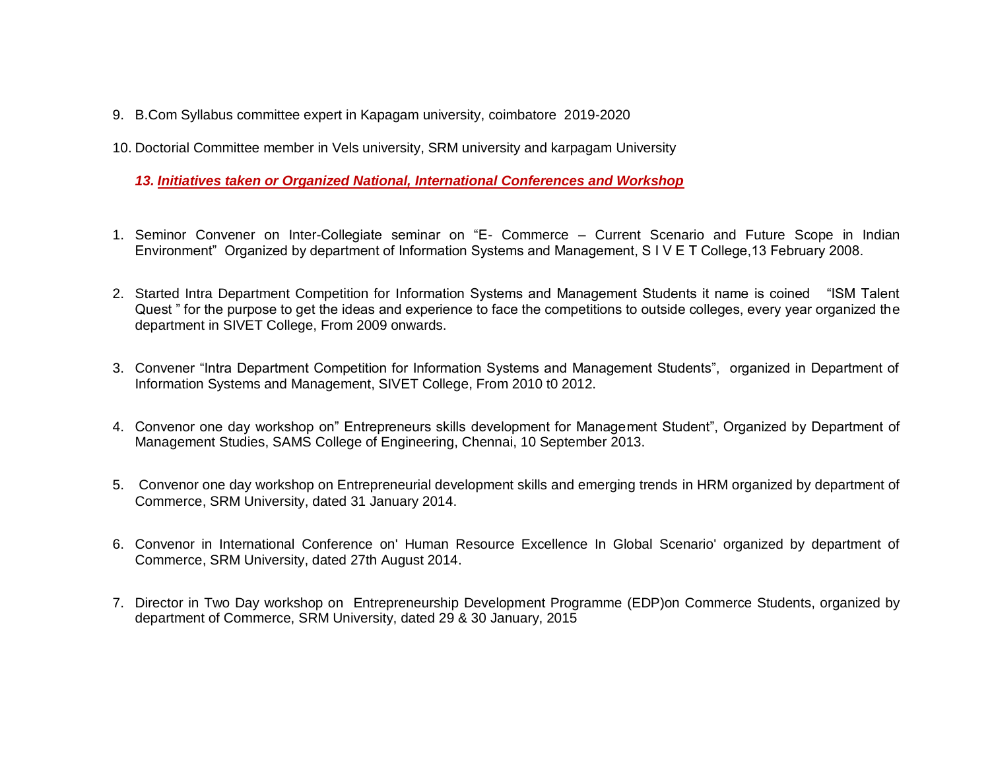- 9. B.Com Syllabus committee expert in Kapagam university, coimbatore 2019-2020
- 10. Doctorial Committee member in Vels university, SRM university and karpagam University

*13. Initiatives taken or Organized National, International Conferences and Workshop* 

- 1. Seminor Convener on Inter-Collegiate seminar on "E- Commerce Current Scenario and Future Scope in Indian Environment" Organized by department of Information Systems and Management, S I V E T College,13 February 2008.
- 2. Started Intra Department Competition for Information Systems and Management Students it name is coined "ISM Talent Quest " for the purpose to get the ideas and experience to face the competitions to outside colleges, every year organized the department in SIVET College, From 2009 onwards.
- 3. Convener "Intra Department Competition for Information Systems and Management Students", organized in Department of Information Systems and Management, SIVET College, From 2010 t0 2012.
- 4. Convenor one day workshop on" Entrepreneurs skills development for Management Student", Organized by Department of Management Studies, SAMS College of Engineering, Chennai, 10 September 2013.
- 5. Convenor one day workshop on Entrepreneurial development skills and emerging trends in HRM organized by department of Commerce, SRM University, dated 31 January 2014.
- 6. Convenor in International Conference on' Human Resource Excellence In Global Scenario' organized by department of Commerce, SRM University, dated 27th August 2014.
- 7. Director in Two Day workshop on Entrepreneurship Development Programme (EDP)on Commerce Students, organized by department of Commerce, SRM University, dated 29 & 30 January, 2015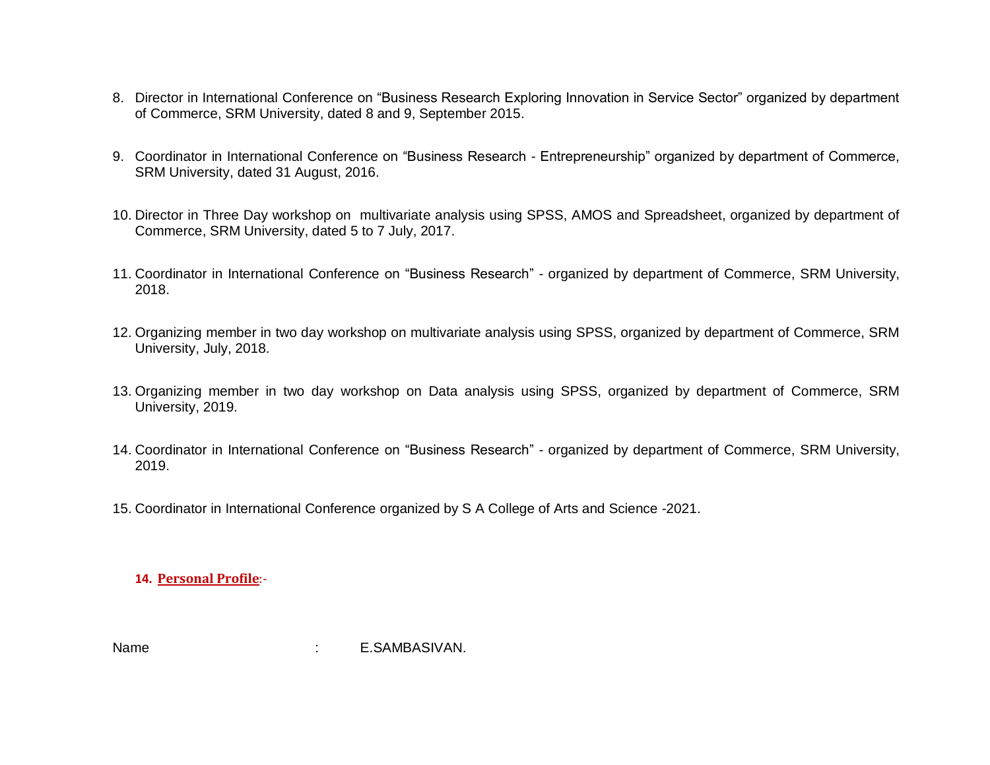- 8. Director in International Conference on "Business Research Exploring Innovation in Service Sector" organized by department of Commerce, SRM University, dated 8 and 9, September 2015.
- 9. Coordinator in International Conference on "Business Research Entrepreneurship" organized by department of Commerce, SRM University, dated 31 August, 2016.
- 10. Director in Three Day workshop on multivariate analysis using SPSS, AMOS and Spreadsheet, organized by department of Commerce, SRM University, dated 5 to 7 July, 2017.
- 11. Coordinator in International Conference on "Business Research" organized by department of Commerce, SRM University, 2018.
- 12. Organizing member in two day workshop on multivariate analysis using SPSS, organized by department of Commerce, SRM University, July, 2018.
- 13. Organizing member in two day workshop on Data analysis using SPSS, organized by department of Commerce, SRM University, 2019.
- 14. Coordinator in International Conference on "Business Research" organized by department of Commerce, SRM University, 2019.
- 15. Coordinator in International Conference organized by S A College of Arts and Science -2021.

**14. Personal Profile**:-

Name : E.SAMBASIVAN.